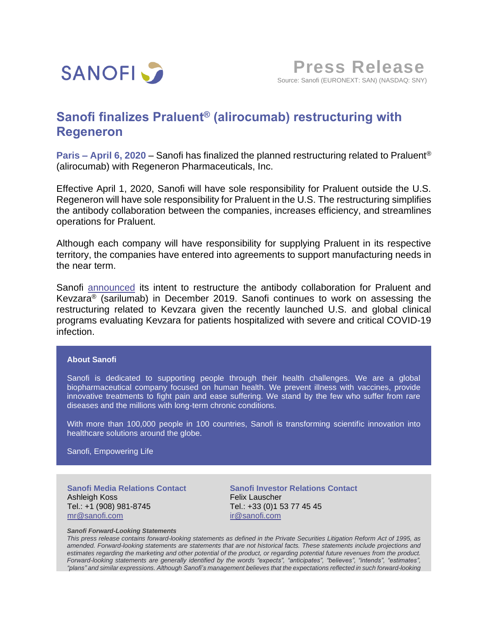

## **Sanofi finalizes Praluent® (alirocumab) restructuring with Regeneron**

**Paris – April 6, 2020** – Sanofi has finalized the planned restructuring related to Praluent® (alirocumab) with Regeneron Pharmaceuticals, Inc.

Effective April 1, 2020, Sanofi will have sole responsibility for Praluent outside the U.S. Regeneron will have sole responsibility for Praluent in the U.S. The restructuring simplifies the antibody collaboration between the companies, increases efficiency, and streamlines operations for Praluent.

Although each company will have responsibility for supplying Praluent in its respective territory, the companies have entered into agreements to support manufacturing needs in the near term.

Sanofi [announced](https://www.sanofi.com/en/media-room/press-releases/2019/2019-12-10-14-30-00) its intent to restructure the antibody collaboration for Praluent and Kevzara<sup>®</sup> (sarilumab) in December 2019. Sanofi continues to work on assessing the restructuring related to Kevzara given the recently launched U.S. and global clinical programs evaluating Kevzara for patients hospitalized with severe and critical COVID-19 infection.

## **About Sanofi**

Sanofi is dedicated to supporting people through their health challenges. We are a global biopharmaceutical company focused on human health. We prevent illness with vaccines, provide innovative treatments to fight pain and ease suffering. We stand by the few who suffer from rare diseases and the millions with long-term chronic conditions.

With more than 100,000 people in 100 countries, Sanofi is transforming scientific innovation into healthcare solutions around the globe.

Sanofi, Empowering Life

**Sanofi Media Relations Contact** Ashleigh Koss Tel.: +1 (908) 981-8745 [mr@sanofi.com](mailto:mr@sanofi.com)

**Sanofi Investor Relations Contact** Felix Lauscher Tel.: +33 (0)1 53 77 45 45 [ir@sanofi.com](mailto:ir@sanofi.com)

## *Sanofi Forward-Looking Statements*

This press release contains forward-looking statements as defined in the Private Securities Litigation Reform Act of 1995, as amended. Forward-looking statements are statements that are not historical facts. These statements include projections and estimates regarding the marketing and other potential of the product, or regarding potential future revenues from the product. *Forward-looking statements are generally identified by the words "expects", "anticipates", "believes", "intends", "estimates",* "plans" and similar expressions. Although Sanofi's management believes that the expectations reflected in such forward-looking